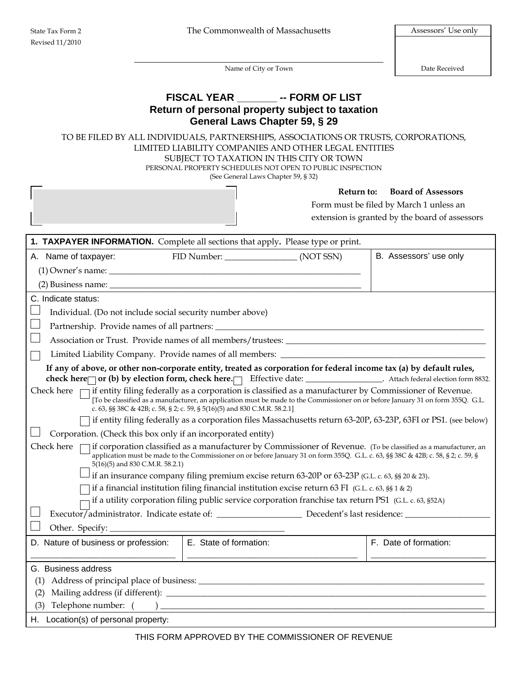Name of City or Town Date Received

## **FISCAL YEAR \_\_\_\_\_\_\_ -- FORM OF LIST Return of personal property subject to taxation General Laws Chapter 59, § 29**

TO BE FILED BY ALL INDIVIDUALS, PARTNERSHIPS, ASSOCIATIONS OR TRUSTS, CORPORATIONS, LIMITED LIABILITY COMPANIES AND OTHER LEGAL ENTITIES SUBJECT TO TAXATION IN THIS CITY OR TOWN PERSONAL PROPERTY SCHEDULES NOT OPEN TO PUBLIC INSPECTION (See General Laws Chapter 59, § 32)

**Return to: Board of Assessors**

Form must be filed by March 1 unless an extension is granted by the board of assessors

| <b>1. TAXPAYER INFORMATION.</b> Complete all sections that apply. Please type or print.                                                                                                                                                                                                                                                   |                                                                                                 |  |                                                                                                                 |  |  |  |  |  |  |
|-------------------------------------------------------------------------------------------------------------------------------------------------------------------------------------------------------------------------------------------------------------------------------------------------------------------------------------------|-------------------------------------------------------------------------------------------------|--|-----------------------------------------------------------------------------------------------------------------|--|--|--|--|--|--|
| A. Name of taxpayer:                                                                                                                                                                                                                                                                                                                      | FID Number: (NOT SSN)                                                                           |  | B. Assessors' use only                                                                                          |  |  |  |  |  |  |
|                                                                                                                                                                                                                                                                                                                                           |                                                                                                 |  |                                                                                                                 |  |  |  |  |  |  |
|                                                                                                                                                                                                                                                                                                                                           |                                                                                                 |  |                                                                                                                 |  |  |  |  |  |  |
| C. Indicate status:                                                                                                                                                                                                                                                                                                                       |                                                                                                 |  |                                                                                                                 |  |  |  |  |  |  |
| Individual. (Do not include social security number above)                                                                                                                                                                                                                                                                                 |                                                                                                 |  |                                                                                                                 |  |  |  |  |  |  |
|                                                                                                                                                                                                                                                                                                                                           |                                                                                                 |  |                                                                                                                 |  |  |  |  |  |  |
| Association or Trust. Provide names of all members/trustees:                                                                                                                                                                                                                                                                              |                                                                                                 |  |                                                                                                                 |  |  |  |  |  |  |
| Limited Liability Company. Provide names of all members: ________________________                                                                                                                                                                                                                                                         |                                                                                                 |  |                                                                                                                 |  |  |  |  |  |  |
| If any of above, or other non-corporate entity, treated as corporation for federal income tax (a) by default rules,<br>check here or (b) by election form, check here. Effective date: ________________. Attach federal election form 8832.                                                                                               |                                                                                                 |  |                                                                                                                 |  |  |  |  |  |  |
| Check here $\Box$ if entity filing federally as a corporation is classified as a manufacturer by Commissioner of Revenue.<br>[To be classified as a manufacturer, an application must be made to the Commissioner on or before January 31 on form 355Q. G.L.<br>c. 63, §§ 38C & 42B; c. 58, § 2; c. 59, § 5(16)(5) and 830 C.M.R. 58.2.1] |                                                                                                 |  |                                                                                                                 |  |  |  |  |  |  |
|                                                                                                                                                                                                                                                                                                                                           |                                                                                                 |  | if entity filing federally as a corporation files Massachusetts return 63-20P, 63-23P, 63FI or PS1. (see below) |  |  |  |  |  |  |
| Corporation. (Check this box only if an incorporated entity)                                                                                                                                                                                                                                                                              |                                                                                                 |  |                                                                                                                 |  |  |  |  |  |  |
| Check here<br>if corporation classified as a manufacturer by Commissioner of Revenue. (To be classified as a manufacturer, an<br>application must be made to the Commissioner on or before January 31 on form 355Q. G.L. c. 63, §§ 38C & 42B; c. 58, § 2; c. 59, §<br>5(16)(5) and 830 C.M.R. 58.2.1)                                     |                                                                                                 |  |                                                                                                                 |  |  |  |  |  |  |
|                                                                                                                                                                                                                                                                                                                                           | if an insurance company filing premium excise return 63-20P or 63-23P (G.L. c. 63, §§ 20 & 23). |  |                                                                                                                 |  |  |  |  |  |  |
| if a financial institution filing financial institution excise return 63 FI (G.L. c. 63, §§ 1 & 2)<br>if a utility corporation filing public service corporation franchise tax return PS1 (G.L. c. 63, §52A)                                                                                                                              |                                                                                                 |  |                                                                                                                 |  |  |  |  |  |  |
| Executor/administrator. Indicate estate of: ________________________ Decedent's last residence: ______________                                                                                                                                                                                                                            |                                                                                                 |  |                                                                                                                 |  |  |  |  |  |  |
|                                                                                                                                                                                                                                                                                                                                           |                                                                                                 |  |                                                                                                                 |  |  |  |  |  |  |
| D. Nature of business or profession:                                                                                                                                                                                                                                                                                                      | E. State of formation:                                                                          |  | F. Date of formation:                                                                                           |  |  |  |  |  |  |
| G. Business address                                                                                                                                                                                                                                                                                                                       |                                                                                                 |  |                                                                                                                 |  |  |  |  |  |  |
| (1)                                                                                                                                                                                                                                                                                                                                       |                                                                                                 |  |                                                                                                                 |  |  |  |  |  |  |
| (2)                                                                                                                                                                                                                                                                                                                                       |                                                                                                 |  |                                                                                                                 |  |  |  |  |  |  |
| (3)                                                                                                                                                                                                                                                                                                                                       |                                                                                                 |  |                                                                                                                 |  |  |  |  |  |  |
| H. Location(s) of personal property:                                                                                                                                                                                                                                                                                                      |                                                                                                 |  |                                                                                                                 |  |  |  |  |  |  |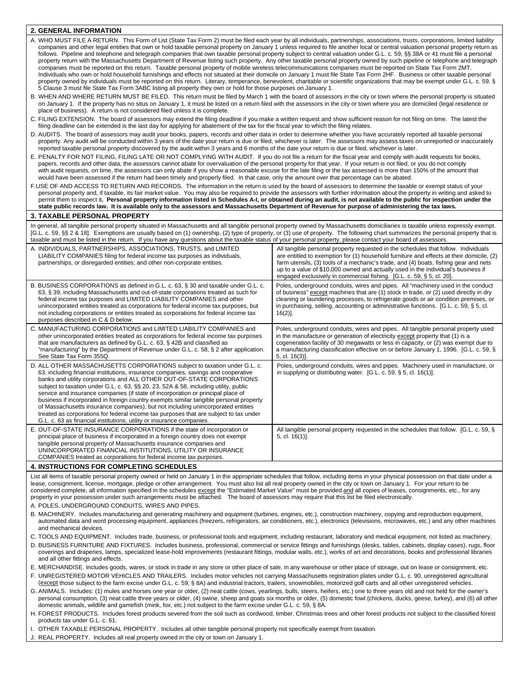| <b>2. GENERAL INFORMATION</b>                                                                                                                                                                                                                                                                                                                                                                                                                                                                                                                                                                                                                                                                                                                                                                                                                                                                                                                                                                                                                                                                                                                                                                                                                                                                                                                                                                                                                                                                                                                                                                                                                                                                                                                                                                                                                                                                                                                                                                                                                                                                                                                                                                                                                                                                                                                                                                                                                                                                                                                                                                                                                                                                                                                                                                                                                                                                                                                                                                                                                                                                                                                                                                                                                                                                                                                                                                                                                                                                                                                                                                                                                                                                                                                                                                                                                                                                                                                                                                                                     |                                                                                                                                                                                                                                                                                                                                                                                                                                      |  |  |  |  |  |  |  |
|-----------------------------------------------------------------------------------------------------------------------------------------------------------------------------------------------------------------------------------------------------------------------------------------------------------------------------------------------------------------------------------------------------------------------------------------------------------------------------------------------------------------------------------------------------------------------------------------------------------------------------------------------------------------------------------------------------------------------------------------------------------------------------------------------------------------------------------------------------------------------------------------------------------------------------------------------------------------------------------------------------------------------------------------------------------------------------------------------------------------------------------------------------------------------------------------------------------------------------------------------------------------------------------------------------------------------------------------------------------------------------------------------------------------------------------------------------------------------------------------------------------------------------------------------------------------------------------------------------------------------------------------------------------------------------------------------------------------------------------------------------------------------------------------------------------------------------------------------------------------------------------------------------------------------------------------------------------------------------------------------------------------------------------------------------------------------------------------------------------------------------------------------------------------------------------------------------------------------------------------------------------------------------------------------------------------------------------------------------------------------------------------------------------------------------------------------------------------------------------------------------------------------------------------------------------------------------------------------------------------------------------------------------------------------------------------------------------------------------------------------------------------------------------------------------------------------------------------------------------------------------------------------------------------------------------------------------------------------------------------------------------------------------------------------------------------------------------------------------------------------------------------------------------------------------------------------------------------------------------------------------------------------------------------------------------------------------------------------------------------------------------------------------------------------------------------------------------------------------------------------------------------------------------------------------------------------------------------------------------------------------------------------------------------------------------------------------------------------------------------------------------------------------------------------------------------------------------------------------------------------------------------------------------------------------------------------------------------------------------------------------------------------------------|--------------------------------------------------------------------------------------------------------------------------------------------------------------------------------------------------------------------------------------------------------------------------------------------------------------------------------------------------------------------------------------------------------------------------------------|--|--|--|--|--|--|--|
| A. WHO MUST FILE A RETURN. This Form of List (State Tax Form 2) must be filed each year by all individuals, partnerships, associations, trusts, corporations, limited liability<br>companies and other legal entities that own or hold taxable personal property on January 1 unless required to file another local or central valuation personal property return as<br>follows. Pipeline and telephone and telegraph companies that own taxable personal property subject to central valuation under G.L. c. 59, §§ 38A or 41 must file a personal<br>property return with the Massachusetts Department of Revenue listing such property. Any other taxable personal property owned by such pipeline or telephone and telegraph<br>companies must be reported on this return. Taxable personal property of mobile wireless telecommunications companies must be reported on State Tax Form 2MT.<br>Individuals who own or hold household furnishings and effects not situated at their domicile on January 1 must file State Tax Form 2HF. Business or other taxable personal<br>property owned by individuals must be reported on this return. Literary, temperance, benevolent, charitable or scientific organizations that may be exempt under G.L. c. 59, §<br>5 Clause 3 must file State Tax Form 3ABC listing all property they own or hold for those purposes on January 1.<br>B. WHEN AND WHERE RETURN MUST BE FILED. This return must be filed by March 1 with the board of assessors in the city or town where the personal property is situated<br>on January 1. If the property has no situs on January 1, it must be listed on a return filed with the assessors in the city or town where you are domiciled (legal residence or<br>place of business). A return is not considered filed unless it is complete.<br>C. FILING EXTENSION. The board of assessors may extend the filing deadline if you make a written request and show sufficient reason for not filing on time. The latest the<br>filing deadline can be extended is the last day for applying for abatement of the tax for the fiscal year to which the filing relates.<br>D. AUDITS. The board of assessors may audit your books, papers, records and other data in order to determine whether you have accurately reported all taxable personal<br>property. Any audit will be conducted within 3 years of the date your return is due or filed, whichever is later. The assessors may assess taxes on unreported or inaccurately<br>reported taxable personal property discovered by the audit within 3 years and 6 months of the date your return is due or filed, whichever is later.<br>E. PENALTY FOR NOT FILING, FILING LATE OR NOT COMPLYING WITH AUDIT. If you do not file a return for the fiscal year and comply with audit requests for books,<br>papers, records and other data, the assessors cannot abate for overvaluation of the personal property for that year. If your return is not filed, or you do not comply<br>with audit requests, on time, the assessors can only abate if you show a reasonable excuse for the late filing or the tax assessed is more than 150% of the amount that<br>would have been assessed if the return had been timely and properly filed. In that case, only the amount over that percentage can be abated.<br>F.USE OF AND ACCESS TO RETURN AND RECORDS. The information in the return is used by the board of assessors to determine the taxable or exempt status of your<br>personal property and, if taxable, its fair market value. You may also be required to provide the assessors with further information about the property in writing and asked to<br>permit them to inspect it. Personal property information listed in Schedules A-I, or obtained during an audit, is not available to the public for inspection under the<br>state public records law. It is available only to the assessors and Massachusetts Department of Revenue for purpose of administering the tax laws. |                                                                                                                                                                                                                                                                                                                                                                                                                                      |  |  |  |  |  |  |  |
| <b>3. TAXABLE PERSONAL PROPERTY</b>                                                                                                                                                                                                                                                                                                                                                                                                                                                                                                                                                                                                                                                                                                                                                                                                                                                                                                                                                                                                                                                                                                                                                                                                                                                                                                                                                                                                                                                                                                                                                                                                                                                                                                                                                                                                                                                                                                                                                                                                                                                                                                                                                                                                                                                                                                                                                                                                                                                                                                                                                                                                                                                                                                                                                                                                                                                                                                                                                                                                                                                                                                                                                                                                                                                                                                                                                                                                                                                                                                                                                                                                                                                                                                                                                                                                                                                                                                                                                                                               |                                                                                                                                                                                                                                                                                                                                                                                                                                      |  |  |  |  |  |  |  |
| In general, all tangible personal property situated in Massachusetts and all tangible personal property owned by Massachusetts domiciliaries is taxable unless expressly exempt.<br>[G.L. c. 59, §§ 2 & 18]. Exemptions are usually based on (1) ownership, (2) type of property, or (3) use of property. The following chart summarizes the personal property that is<br>taxable and must be listed in the return. If you have any questions about the taxable status of your personal property, please contact your board of assessors.                                                                                                                                                                                                                                                                                                                                                                                                                                                                                                                                                                                                                                                                                                                                                                                                                                                                                                                                                                                                                                                                                                                                                                                                                                                                                                                                                                                                                                                                                                                                                                                                                                                                                                                                                                                                                                                                                                                                                                                                                                                                                                                                                                                                                                                                                                                                                                                                                                                                                                                                                                                                                                                                                                                                                                                                                                                                                                                                                                                                                                                                                                                                                                                                                                                                                                                                                                                                                                                                                         |                                                                                                                                                                                                                                                                                                                                                                                                                                      |  |  |  |  |  |  |  |
| A. INDIVIDUALS, PARTNERSHIPS, ASSOCIATIONS, TRUSTS, and LIMITED<br>LIABILITY COMPANIES filing for federal income tax purposes as individuals,<br>partnerships, or disregarded entities; and other non-corporate entities.                                                                                                                                                                                                                                                                                                                                                                                                                                                                                                                                                                                                                                                                                                                                                                                                                                                                                                                                                                                                                                                                                                                                                                                                                                                                                                                                                                                                                                                                                                                                                                                                                                                                                                                                                                                                                                                                                                                                                                                                                                                                                                                                                                                                                                                                                                                                                                                                                                                                                                                                                                                                                                                                                                                                                                                                                                                                                                                                                                                                                                                                                                                                                                                                                                                                                                                                                                                                                                                                                                                                                                                                                                                                                                                                                                                                         | All tangible personal property requested in the schedules that follow. Individuals<br>are entitled to exemption for (1) household furniture and effects at their domicile, (2)<br>farm utensils, (3) tools of a mechanic's trade, and (4) boats, fishing gear and nets<br>up to a value of \$10,000 owned and actually used in the individual's business if<br>engaged exclusively in commercial fishing. [G.L. c. 59, § 5, cl. 20]. |  |  |  |  |  |  |  |
| B. BUSINESS CORPORATIONS as defined in G.L. c. 63, § 30 and taxable under G.L. c.<br>63, § 39, including Massachusetts and out-of-state corporations treated as such for<br>federal income tax purposes and LIMITED LIABILITY COMPANIES and other<br>unincorporated entities treated as corporations for federal income tax purposes, but<br>not including corporations or entities treated as corporations for federal income tax<br>purposes described in C & D below.                                                                                                                                                                                                                                                                                                                                                                                                                                                                                                                                                                                                                                                                                                                                                                                                                                                                                                                                                                                                                                                                                                                                                                                                                                                                                                                                                                                                                                                                                                                                                                                                                                                                                                                                                                                                                                                                                                                                                                                                                                                                                                                                                                                                                                                                                                                                                                                                                                                                                                                                                                                                                                                                                                                                                                                                                                                                                                                                                                                                                                                                                                                                                                                                                                                                                                                                                                                                                                                                                                                                                          | Poles, underground conduits, wires and pipes. All "machinery used in the conduct<br>of business" except machines that are (1) stock in trade, or (2) used directly in dry<br>cleaning or laundering processes, to refrigerate goods or air condition premises, or<br>in purchasing, selling, accounting or administrative functions. [G.L. c. 59, $\S$ 5, cl.<br>$16(2)$ ].                                                          |  |  |  |  |  |  |  |
| C. MANUFACTURING CORPORATIONS and LIMITED LIABILITY COMPANIES and<br>Poles, underground conduits, wires and pipes. All tangible personal property used<br>other unincorporated entities treated as corporations for federal income tax purposes<br>in the manufacture or generation of electricity except property that (1) is a<br>that are manufacturers as defined by G.L. c. 63, § 42B and classified as<br>cogeneration facility of 30 megawatts or less in capacity, or (2) was exempt due to<br>"manufacturing" by the Department of Revenue under G.L. c. 58, § 2 after application.<br>a manufacturing classification effective on or before January 1, 1996. [G.L. c. 59, §<br>See State Tax Form 355Q.<br>$5, cl. 16(3)$ ].                                                                                                                                                                                                                                                                                                                                                                                                                                                                                                                                                                                                                                                                                                                                                                                                                                                                                                                                                                                                                                                                                                                                                                                                                                                                                                                                                                                                                                                                                                                                                                                                                                                                                                                                                                                                                                                                                                                                                                                                                                                                                                                                                                                                                                                                                                                                                                                                                                                                                                                                                                                                                                                                                                                                                                                                                                                                                                                                                                                                                                                                                                                                                                                                                                                                                            |                                                                                                                                                                                                                                                                                                                                                                                                                                      |  |  |  |  |  |  |  |
| D. ALL OTHER MASSACHUSETTS CORPORATIONS subject to taxation under G.L. c.<br>Poles, underground conduits, wires and pipes. Machinery used in manufacture, or<br>63, including financial institutions, insurance companies, savings and cooperative<br>in supplying or distributing water. $[G.L. c. 59, § 5, cl. 16(1)].$<br>banks and utility corporations and ALL OTHER OUT-OF-STATE CORPORATIONS<br>subject to taxation under G.L. c. 63, §§ 20, 23, 52A & 58, including utility, public<br>service and insurance companies (if state of incorporation or principal place of<br>business if incorporated in foreign country exempts similar tangible personal property<br>of Massachusetts insurance companies), but not including unincorporated entities<br>treated as corporations for federal income tax purposes that are subject to tax under<br>G.L. c. 63 as financial institutions, utility or insurance companies.                                                                                                                                                                                                                                                                                                                                                                                                                                                                                                                                                                                                                                                                                                                                                                                                                                                                                                                                                                                                                                                                                                                                                                                                                                                                                                                                                                                                                                                                                                                                                                                                                                                                                                                                                                                                                                                                                                                                                                                                                                                                                                                                                                                                                                                                                                                                                                                                                                                                                                                                                                                                                                                                                                                                                                                                                                                                                                                                                                                                                                                                                                   |                                                                                                                                                                                                                                                                                                                                                                                                                                      |  |  |  |  |  |  |  |
| E. OUT-OF-STATE INSURANCE CORPORATIONS if the state of incorporation or<br>principal place of business if incorporated in a foreign country does not exempt<br>tangible personal property of Massachusetts insurance companies and<br>UNINCORPORATED FINANCIAL INSTITUTIONS, UTILITY OR INSURANCE<br>COMPANIES treated as corporations for federal income tax purposes.                                                                                                                                                                                                                                                                                                                                                                                                                                                                                                                                                                                                                                                                                                                                                                                                                                                                                                                                                                                                                                                                                                                                                                                                                                                                                                                                                                                                                                                                                                                                                                                                                                                                                                                                                                                                                                                                                                                                                                                                                                                                                                                                                                                                                                                                                                                                                                                                                                                                                                                                                                                                                                                                                                                                                                                                                                                                                                                                                                                                                                                                                                                                                                                                                                                                                                                                                                                                                                                                                                                                                                                                                                                           | All tangible personal property requested in the schedules that follow. [G.L. c. 59, §<br>$5, cl. 16(1)$ .                                                                                                                                                                                                                                                                                                                            |  |  |  |  |  |  |  |
| 4. INSTRUCTIONS FOR COMPLETING SCHEDULES                                                                                                                                                                                                                                                                                                                                                                                                                                                                                                                                                                                                                                                                                                                                                                                                                                                                                                                                                                                                                                                                                                                                                                                                                                                                                                                                                                                                                                                                                                                                                                                                                                                                                                                                                                                                                                                                                                                                                                                                                                                                                                                                                                                                                                                                                                                                                                                                                                                                                                                                                                                                                                                                                                                                                                                                                                                                                                                                                                                                                                                                                                                                                                                                                                                                                                                                                                                                                                                                                                                                                                                                                                                                                                                                                                                                                                                                                                                                                                                          |                                                                                                                                                                                                                                                                                                                                                                                                                                      |  |  |  |  |  |  |  |
| List all items of taxable personal property owned or held on January 1 in the appropriate schedules that follow, including items in your physical possession on that date under a<br>lease, consignment, license, mortgage, pledge or other arrangement. You must also list all real property owned in the city or town on January 1. For your return to be<br>considered complete, all information specified in the schedules except the "Estimated Market Value" must be provided and all copies of leases, consignments, etc., for any<br>property in your possession under such arrangements must be attached. The board of assessors may require that this list be filed electronically.<br>A. POLES, UNDERGROUND CONDUITS, WIRES AND PIPES.<br>B. MACHINERY. Includes manufacturing and generating machinery and equipment (turbines, engines, etc.), construction machinery, copying and reproduction equipment,<br>automated data and word processing equipment, appliances (freezers, refrigerators, air conditioners, etc.), electronics (televisions, microwaves, etc.) and any other machines<br>and mechanical devices.<br>C. TOOLS AND EQUIPMENT. Includes trade, business, or professional tools and equipment, including restaurant, laboratory and medical equipment, not listed as machinery.                                                                                                                                                                                                                                                                                                                                                                                                                                                                                                                                                                                                                                                                                                                                                                                                                                                                                                                                                                                                                                                                                                                                                                                                                                                                                                                                                                                                                                                                                                                                                                                                                                                                                                                                                                                                                                                                                                                                                                                                                                                                                                                                                                                                                                                                                                                                                                                                                                                                                                                                                                                                                                                                                                                   |                                                                                                                                                                                                                                                                                                                                                                                                                                      |  |  |  |  |  |  |  |
| D. BUSINESS FURNITURE AND FIXTURES. Includes business, professional, commercial or service fittings and furnishings (desks, tables, cabinets, display cases), rugs, floor<br>coverings and draperies, lamps, specialized lease-hold improvements (restaurant fittings, modular walls, etc.), works of art and decorations, books and professional libraries<br>and all other fittings and effects.<br>E. MERCHANDISE. Includes goods, wares, or stock in trade in any store or other place of sale, in any warehouse or other place of storage, out on lease or consignment, etc.<br>F. UNREGISTERED MOTOR VEHICLES AND TRAILERS. Includes motor vehicles not carrying Massachusetts registration plates under G.L. c. 90, unregistered agricultural<br>(except those subject to the farm excise under G.L. c. 59, § 8A) and industrial tractors, trailers, snowmobiles, motorized golf carts and all other unregistered vehicles.<br>G. ANIMALS. Includes: (1) mules and horses one year or older, (2) neat cattle (cows, yearlings, bulls, steers, heifers, etc.) one to three years old and not held for the owner's<br>personal consumption, (3) neat cattle three years or older, (4) swine, sheep and goats six months or older, (5) domestic fowl (chickens, ducks, geese, turkey), and (6) all other<br>domestic animals, wildlife and gamefish (mink, fox, etc.) not subject to the farm excise under G.L. c. 59, § 8A.                                                                                                                                                                                                                                                                                                                                                                                                                                                                                                                                                                                                                                                                                                                                                                                                                                                                                                                                                                                                                                                                                                                                                                                                                                                                                                                                                                                                                                                                                                                                                                                                                                                                                                                                                                                                                                                                                                                                                                                                                                                                                                                                                                                                                                                                                                                                                                                                                                                                                                                                                                                                  |                                                                                                                                                                                                                                                                                                                                                                                                                                      |  |  |  |  |  |  |  |
| H. FOREST PRODUCTS. Includes forest products severed from the soil such as cordwood, timber, Christmas trees and other forest products not subject to the classified forest<br>products tax under G.L. c. 61.<br>I. OTHER TAXABLE PERSONAL PROPERTY. Includes all other tangible personal property not specifically exempt from taxation.                                                                                                                                                                                                                                                                                                                                                                                                                                                                                                                                                                                                                                                                                                                                                                                                                                                                                                                                                                                                                                                                                                                                                                                                                                                                                                                                                                                                                                                                                                                                                                                                                                                                                                                                                                                                                                                                                                                                                                                                                                                                                                                                                                                                                                                                                                                                                                                                                                                                                                                                                                                                                                                                                                                                                                                                                                                                                                                                                                                                                                                                                                                                                                                                                                                                                                                                                                                                                                                                                                                                                                                                                                                                                         |                                                                                                                                                                                                                                                                                                                                                                                                                                      |  |  |  |  |  |  |  |

J. REAL PROPERTY. Includes all real property owned in the city or town on January 1.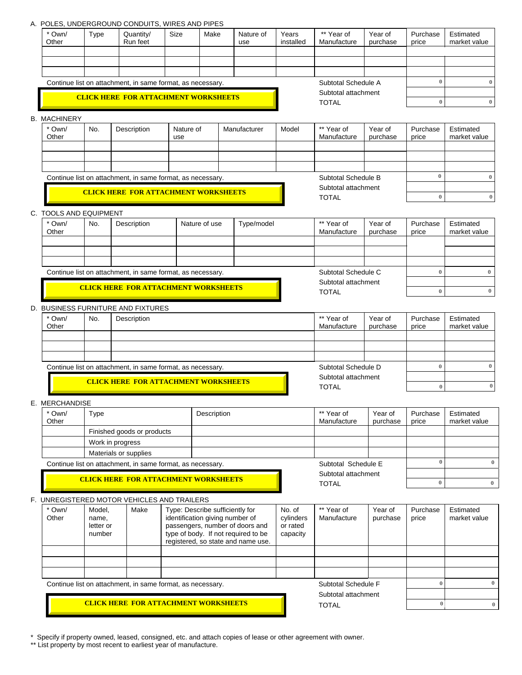## A. POLES, UNDERGROUND CONDUITS, WIRES AND PIPES

| $\circ$<br>Subtotal Schedule A<br>$\mathbf 0$<br>Continue list on attachment, in same format, as necessary.<br>Subtotal attachment<br><b>CLICK HERE FOR ATTACHMENT WORKSHEETS</b><br><b>TOTAL</b><br>$\mathsf{O}$<br>0<br><b>B. MACHINERY</b><br>** Year of<br>* Own/<br>No.<br>Year of<br>Description<br>Nature of<br>Manufacturer<br>Model<br>Purchase<br>Estimated<br>Manufacture<br>Other<br>purchase<br>market value<br>use<br>price<br>$\circ$<br>Subtotal Schedule B<br>Continue list on attachment, in same format, as necessary.<br>0<br>Subtotal attachment<br><b>CLICK HERE FOR ATTACHMENT WORKSHEETS</b><br><b>TOTAL</b><br>$\mathsf{O}\xspace$<br>$\circ$<br>C. TOOLS AND EQUIPMENT<br>** Year of<br>* Own/<br>Year of<br>No.<br>Description<br>Nature of use<br>Type/model<br>Purchase<br>Estimated<br>Manufacture<br>market value<br>Other<br>purchase<br>price<br>Subtotal Schedule C<br>$\circ$<br>$\mathsf 0$<br>Continue list on attachment, in same format, as necessary.<br>Subtotal attachment<br><b>CLICK HERE FOR ATTACHMENT WORKSHEETS</b><br>$\mathsf{O}\xspace$<br>$\circ$<br><b>TOTAL</b><br>D. BUSINESS FURNITURE AND FIXTURES<br>** Year of<br>* Own/<br>Year of<br>Purchase<br>Estimated<br>No.<br>Description<br>Manufacture<br>purchase<br>market value<br>Other<br>price<br>Subtotal Schedule D<br>$\circ$<br>$\circ$<br>Continue list on attachment, in same format, as necessary.<br>Subtotal attachment<br><b>CLICK HERE FOR ATTACHMENT WORKSHEETS</b><br>$\mathsf 0$<br><b>TOTAL</b><br>$\mathsf 0$<br>E. MERCHANDISE<br>Own/<br>Type<br>Description<br>** Year of<br>Year of<br>Purchase<br>Estimated<br>Other<br>Manufacture<br>market value<br>purchase<br>price<br>Finished goods or products<br>Work in progress<br>Materials or supplies<br>$\mathsf 0$<br>Subtotal Schedule E<br>Continue list on attachment, in same format, as necessary.<br>Subtotal attachment<br><b>CLICK HERE FOR ATTACHMENT WORKSHEETS</b><br>$\mathsf 0$<br><b>TOTAL</b><br>$\mathsf{O}\xspace$<br>F. UNREGISTERED MOTOR VEHICLES AND TRAILERS<br>Type: Describe sufficiently for<br>** Year of<br>Estimated<br>* Own/<br>Model,<br>Make<br>No. of<br>Year of<br>Purchase<br>Other<br>identification giving number of<br>cylinders<br>Manufacture<br>name,<br>purchase<br>market value<br>price<br>passengers, number of doors and<br>or rated<br>letter or<br>type of body. If not required to be<br>number<br>capacity<br>registered, so state and name use.<br>Subtotal Schedule F<br>$\mathsf{O}\xspace$<br>Continue list on attachment, in same format, as necessary.<br>Subtotal attachment<br><b>CLICK HERE FOR ATTACHMENT WORKSHEETS</b><br>$\mathsf{O}\xspace$<br><b>TOTAL</b> | * Own/<br>Other | Type | Quantity/<br>Run feet | Size | Make | Nature of<br>use | Years<br>installed | ** Year of<br>Manufacture | Year of<br>purchase | Purchase<br>price | Estimated<br>market value |
|--------------------------------------------------------------------------------------------------------------------------------------------------------------------------------------------------------------------------------------------------------------------------------------------------------------------------------------------------------------------------------------------------------------------------------------------------------------------------------------------------------------------------------------------------------------------------------------------------------------------------------------------------------------------------------------------------------------------------------------------------------------------------------------------------------------------------------------------------------------------------------------------------------------------------------------------------------------------------------------------------------------------------------------------------------------------------------------------------------------------------------------------------------------------------------------------------------------------------------------------------------------------------------------------------------------------------------------------------------------------------------------------------------------------------------------------------------------------------------------------------------------------------------------------------------------------------------------------------------------------------------------------------------------------------------------------------------------------------------------------------------------------------------------------------------------------------------------------------------------------------------------------------------------------------------------------------------------------------------------------------------------------------------------------------------------------------------------------------------------------------------------------------------------------------------------------------------------------------------------------------------------------------------------------------------------------------------------------------------------------------------------------------------------------------------------------------------------------------------------------------------------------------------------------------------------------------------------------------------------------------------------------------------------------------------------------------------------|-----------------|------|-----------------------|------|------|------------------|--------------------|---------------------------|---------------------|-------------------|---------------------------|
| $\mathsf 0$                                                                                                                                                                                                                                                                                                                                                                                                                                                                                                                                                                                                                                                                                                                                                                                                                                                                                                                                                                                                                                                                                                                                                                                                                                                                                                                                                                                                                                                                                                                                                                                                                                                                                                                                                                                                                                                                                                                                                                                                                                                                                                                                                                                                                                                                                                                                                                                                                                                                                                                                                                                                                                                                                                  |                 |      |                       |      |      |                  |                    |                           |                     |                   |                           |
|                                                                                                                                                                                                                                                                                                                                                                                                                                                                                                                                                                                                                                                                                                                                                                                                                                                                                                                                                                                                                                                                                                                                                                                                                                                                                                                                                                                                                                                                                                                                                                                                                                                                                                                                                                                                                                                                                                                                                                                                                                                                                                                                                                                                                                                                                                                                                                                                                                                                                                                                                                                                                                                                                                              |                 |      |                       |      |      |                  |                    |                           |                     |                   |                           |
|                                                                                                                                                                                                                                                                                                                                                                                                                                                                                                                                                                                                                                                                                                                                                                                                                                                                                                                                                                                                                                                                                                                                                                                                                                                                                                                                                                                                                                                                                                                                                                                                                                                                                                                                                                                                                                                                                                                                                                                                                                                                                                                                                                                                                                                                                                                                                                                                                                                                                                                                                                                                                                                                                                              |                 |      |                       |      |      |                  |                    |                           |                     |                   |                           |
|                                                                                                                                                                                                                                                                                                                                                                                                                                                                                                                                                                                                                                                                                                                                                                                                                                                                                                                                                                                                                                                                                                                                                                                                                                                                                                                                                                                                                                                                                                                                                                                                                                                                                                                                                                                                                                                                                                                                                                                                                                                                                                                                                                                                                                                                                                                                                                                                                                                                                                                                                                                                                                                                                                              |                 |      |                       |      |      |                  |                    |                           |                     |                   |                           |
|                                                                                                                                                                                                                                                                                                                                                                                                                                                                                                                                                                                                                                                                                                                                                                                                                                                                                                                                                                                                                                                                                                                                                                                                                                                                                                                                                                                                                                                                                                                                                                                                                                                                                                                                                                                                                                                                                                                                                                                                                                                                                                                                                                                                                                                                                                                                                                                                                                                                                                                                                                                                                                                                                                              |                 |      |                       |      |      |                  |                    |                           |                     |                   |                           |
|                                                                                                                                                                                                                                                                                                                                                                                                                                                                                                                                                                                                                                                                                                                                                                                                                                                                                                                                                                                                                                                                                                                                                                                                                                                                                                                                                                                                                                                                                                                                                                                                                                                                                                                                                                                                                                                                                                                                                                                                                                                                                                                                                                                                                                                                                                                                                                                                                                                                                                                                                                                                                                                                                                              |                 |      |                       |      |      |                  |                    |                           |                     |                   |                           |
| $\circ$<br>$\mathbb O$                                                                                                                                                                                                                                                                                                                                                                                                                                                                                                                                                                                                                                                                                                                                                                                                                                                                                                                                                                                                                                                                                                                                                                                                                                                                                                                                                                                                                                                                                                                                                                                                                                                                                                                                                                                                                                                                                                                                                                                                                                                                                                                                                                                                                                                                                                                                                                                                                                                                                                                                                                                                                                                                                       |                 |      |                       |      |      |                  |                    |                           |                     |                   |                           |
|                                                                                                                                                                                                                                                                                                                                                                                                                                                                                                                                                                                                                                                                                                                                                                                                                                                                                                                                                                                                                                                                                                                                                                                                                                                                                                                                                                                                                                                                                                                                                                                                                                                                                                                                                                                                                                                                                                                                                                                                                                                                                                                                                                                                                                                                                                                                                                                                                                                                                                                                                                                                                                                                                                              |                 |      |                       |      |      |                  |                    |                           |                     |                   |                           |
|                                                                                                                                                                                                                                                                                                                                                                                                                                                                                                                                                                                                                                                                                                                                                                                                                                                                                                                                                                                                                                                                                                                                                                                                                                                                                                                                                                                                                                                                                                                                                                                                                                                                                                                                                                                                                                                                                                                                                                                                                                                                                                                                                                                                                                                                                                                                                                                                                                                                                                                                                                                                                                                                                                              |                 |      |                       |      |      |                  |                    |                           |                     |                   |                           |
|                                                                                                                                                                                                                                                                                                                                                                                                                                                                                                                                                                                                                                                                                                                                                                                                                                                                                                                                                                                                                                                                                                                                                                                                                                                                                                                                                                                                                                                                                                                                                                                                                                                                                                                                                                                                                                                                                                                                                                                                                                                                                                                                                                                                                                                                                                                                                                                                                                                                                                                                                                                                                                                                                                              |                 |      |                       |      |      |                  |                    |                           |                     |                   |                           |
|                                                                                                                                                                                                                                                                                                                                                                                                                                                                                                                                                                                                                                                                                                                                                                                                                                                                                                                                                                                                                                                                                                                                                                                                                                                                                                                                                                                                                                                                                                                                                                                                                                                                                                                                                                                                                                                                                                                                                                                                                                                                                                                                                                                                                                                                                                                                                                                                                                                                                                                                                                                                                                                                                                              |                 |      |                       |      |      |                  |                    |                           |                     |                   |                           |
|                                                                                                                                                                                                                                                                                                                                                                                                                                                                                                                                                                                                                                                                                                                                                                                                                                                                                                                                                                                                                                                                                                                                                                                                                                                                                                                                                                                                                                                                                                                                                                                                                                                                                                                                                                                                                                                                                                                                                                                                                                                                                                                                                                                                                                                                                                                                                                                                                                                                                                                                                                                                                                                                                                              |                 |      |                       |      |      |                  |                    |                           |                     |                   |                           |
|                                                                                                                                                                                                                                                                                                                                                                                                                                                                                                                                                                                                                                                                                                                                                                                                                                                                                                                                                                                                                                                                                                                                                                                                                                                                                                                                                                                                                                                                                                                                                                                                                                                                                                                                                                                                                                                                                                                                                                                                                                                                                                                                                                                                                                                                                                                                                                                                                                                                                                                                                                                                                                                                                                              |                 |      |                       |      |      |                  |                    |                           |                     |                   |                           |
|                                                                                                                                                                                                                                                                                                                                                                                                                                                                                                                                                                                                                                                                                                                                                                                                                                                                                                                                                                                                                                                                                                                                                                                                                                                                                                                                                                                                                                                                                                                                                                                                                                                                                                                                                                                                                                                                                                                                                                                                                                                                                                                                                                                                                                                                                                                                                                                                                                                                                                                                                                                                                                                                                                              |                 |      |                       |      |      |                  |                    |                           |                     |                   |                           |
|                                                                                                                                                                                                                                                                                                                                                                                                                                                                                                                                                                                                                                                                                                                                                                                                                                                                                                                                                                                                                                                                                                                                                                                                                                                                                                                                                                                                                                                                                                                                                                                                                                                                                                                                                                                                                                                                                                                                                                                                                                                                                                                                                                                                                                                                                                                                                                                                                                                                                                                                                                                                                                                                                                              |                 |      |                       |      |      |                  |                    |                           |                     |                   |                           |
|                                                                                                                                                                                                                                                                                                                                                                                                                                                                                                                                                                                                                                                                                                                                                                                                                                                                                                                                                                                                                                                                                                                                                                                                                                                                                                                                                                                                                                                                                                                                                                                                                                                                                                                                                                                                                                                                                                                                                                                                                                                                                                                                                                                                                                                                                                                                                                                                                                                                                                                                                                                                                                                                                                              |                 |      |                       |      |      |                  |                    |                           |                     |                   |                           |
|                                                                                                                                                                                                                                                                                                                                                                                                                                                                                                                                                                                                                                                                                                                                                                                                                                                                                                                                                                                                                                                                                                                                                                                                                                                                                                                                                                                                                                                                                                                                                                                                                                                                                                                                                                                                                                                                                                                                                                                                                                                                                                                                                                                                                                                                                                                                                                                                                                                                                                                                                                                                                                                                                                              |                 |      |                       |      |      |                  |                    |                           |                     |                   |                           |
|                                                                                                                                                                                                                                                                                                                                                                                                                                                                                                                                                                                                                                                                                                                                                                                                                                                                                                                                                                                                                                                                                                                                                                                                                                                                                                                                                                                                                                                                                                                                                                                                                                                                                                                                                                                                                                                                                                                                                                                                                                                                                                                                                                                                                                                                                                                                                                                                                                                                                                                                                                                                                                                                                                              |                 |      |                       |      |      |                  |                    |                           |                     |                   |                           |
|                                                                                                                                                                                                                                                                                                                                                                                                                                                                                                                                                                                                                                                                                                                                                                                                                                                                                                                                                                                                                                                                                                                                                                                                                                                                                                                                                                                                                                                                                                                                                                                                                                                                                                                                                                                                                                                                                                                                                                                                                                                                                                                                                                                                                                                                                                                                                                                                                                                                                                                                                                                                                                                                                                              |                 |      |                       |      |      |                  |                    |                           |                     |                   |                           |
|                                                                                                                                                                                                                                                                                                                                                                                                                                                                                                                                                                                                                                                                                                                                                                                                                                                                                                                                                                                                                                                                                                                                                                                                                                                                                                                                                                                                                                                                                                                                                                                                                                                                                                                                                                                                                                                                                                                                                                                                                                                                                                                                                                                                                                                                                                                                                                                                                                                                                                                                                                                                                                                                                                              |                 |      |                       |      |      |                  |                    |                           |                     |                   |                           |
|                                                                                                                                                                                                                                                                                                                                                                                                                                                                                                                                                                                                                                                                                                                                                                                                                                                                                                                                                                                                                                                                                                                                                                                                                                                                                                                                                                                                                                                                                                                                                                                                                                                                                                                                                                                                                                                                                                                                                                                                                                                                                                                                                                                                                                                                                                                                                                                                                                                                                                                                                                                                                                                                                                              |                 |      |                       |      |      |                  |                    |                           |                     |                   |                           |
|                                                                                                                                                                                                                                                                                                                                                                                                                                                                                                                                                                                                                                                                                                                                                                                                                                                                                                                                                                                                                                                                                                                                                                                                                                                                                                                                                                                                                                                                                                                                                                                                                                                                                                                                                                                                                                                                                                                                                                                                                                                                                                                                                                                                                                                                                                                                                                                                                                                                                                                                                                                                                                                                                                              |                 |      |                       |      |      |                  |                    |                           |                     |                   |                           |
|                                                                                                                                                                                                                                                                                                                                                                                                                                                                                                                                                                                                                                                                                                                                                                                                                                                                                                                                                                                                                                                                                                                                                                                                                                                                                                                                                                                                                                                                                                                                                                                                                                                                                                                                                                                                                                                                                                                                                                                                                                                                                                                                                                                                                                                                                                                                                                                                                                                                                                                                                                                                                                                                                                              |                 |      |                       |      |      |                  |                    |                           |                     |                   |                           |
|                                                                                                                                                                                                                                                                                                                                                                                                                                                                                                                                                                                                                                                                                                                                                                                                                                                                                                                                                                                                                                                                                                                                                                                                                                                                                                                                                                                                                                                                                                                                                                                                                                                                                                                                                                                                                                                                                                                                                                                                                                                                                                                                                                                                                                                                                                                                                                                                                                                                                                                                                                                                                                                                                                              |                 |      |                       |      |      |                  |                    |                           |                     |                   |                           |
|                                                                                                                                                                                                                                                                                                                                                                                                                                                                                                                                                                                                                                                                                                                                                                                                                                                                                                                                                                                                                                                                                                                                                                                                                                                                                                                                                                                                                                                                                                                                                                                                                                                                                                                                                                                                                                                                                                                                                                                                                                                                                                                                                                                                                                                                                                                                                                                                                                                                                                                                                                                                                                                                                                              |                 |      |                       |      |      |                  |                    |                           |                     |                   |                           |
|                                                                                                                                                                                                                                                                                                                                                                                                                                                                                                                                                                                                                                                                                                                                                                                                                                                                                                                                                                                                                                                                                                                                                                                                                                                                                                                                                                                                                                                                                                                                                                                                                                                                                                                                                                                                                                                                                                                                                                                                                                                                                                                                                                                                                                                                                                                                                                                                                                                                                                                                                                                                                                                                                                              |                 |      |                       |      |      |                  |                    |                           |                     |                   |                           |
|                                                                                                                                                                                                                                                                                                                                                                                                                                                                                                                                                                                                                                                                                                                                                                                                                                                                                                                                                                                                                                                                                                                                                                                                                                                                                                                                                                                                                                                                                                                                                                                                                                                                                                                                                                                                                                                                                                                                                                                                                                                                                                                                                                                                                                                                                                                                                                                                                                                                                                                                                                                                                                                                                                              |                 |      |                       |      |      |                  |                    |                           |                     |                   |                           |
|                                                                                                                                                                                                                                                                                                                                                                                                                                                                                                                                                                                                                                                                                                                                                                                                                                                                                                                                                                                                                                                                                                                                                                                                                                                                                                                                                                                                                                                                                                                                                                                                                                                                                                                                                                                                                                                                                                                                                                                                                                                                                                                                                                                                                                                                                                                                                                                                                                                                                                                                                                                                                                                                                                              |                 |      |                       |      |      |                  |                    |                           |                     |                   |                           |
|                                                                                                                                                                                                                                                                                                                                                                                                                                                                                                                                                                                                                                                                                                                                                                                                                                                                                                                                                                                                                                                                                                                                                                                                                                                                                                                                                                                                                                                                                                                                                                                                                                                                                                                                                                                                                                                                                                                                                                                                                                                                                                                                                                                                                                                                                                                                                                                                                                                                                                                                                                                                                                                                                                              |                 |      |                       |      |      |                  |                    |                           |                     |                   |                           |
|                                                                                                                                                                                                                                                                                                                                                                                                                                                                                                                                                                                                                                                                                                                                                                                                                                                                                                                                                                                                                                                                                                                                                                                                                                                                                                                                                                                                                                                                                                                                                                                                                                                                                                                                                                                                                                                                                                                                                                                                                                                                                                                                                                                                                                                                                                                                                                                                                                                                                                                                                                                                                                                                                                              |                 |      |                       |      |      |                  |                    |                           |                     |                   |                           |
|                                                                                                                                                                                                                                                                                                                                                                                                                                                                                                                                                                                                                                                                                                                                                                                                                                                                                                                                                                                                                                                                                                                                                                                                                                                                                                                                                                                                                                                                                                                                                                                                                                                                                                                                                                                                                                                                                                                                                                                                                                                                                                                                                                                                                                                                                                                                                                                                                                                                                                                                                                                                                                                                                                              |                 |      |                       |      |      |                  |                    |                           |                     |                   |                           |
|                                                                                                                                                                                                                                                                                                                                                                                                                                                                                                                                                                                                                                                                                                                                                                                                                                                                                                                                                                                                                                                                                                                                                                                                                                                                                                                                                                                                                                                                                                                                                                                                                                                                                                                                                                                                                                                                                                                                                                                                                                                                                                                                                                                                                                                                                                                                                                                                                                                                                                                                                                                                                                                                                                              |                 |      |                       |      |      |                  |                    |                           |                     |                   |                           |
|                                                                                                                                                                                                                                                                                                                                                                                                                                                                                                                                                                                                                                                                                                                                                                                                                                                                                                                                                                                                                                                                                                                                                                                                                                                                                                                                                                                                                                                                                                                                                                                                                                                                                                                                                                                                                                                                                                                                                                                                                                                                                                                                                                                                                                                                                                                                                                                                                                                                                                                                                                                                                                                                                                              |                 |      |                       |      |      |                  |                    |                           |                     |                   |                           |
|                                                                                                                                                                                                                                                                                                                                                                                                                                                                                                                                                                                                                                                                                                                                                                                                                                                                                                                                                                                                                                                                                                                                                                                                                                                                                                                                                                                                                                                                                                                                                                                                                                                                                                                                                                                                                                                                                                                                                                                                                                                                                                                                                                                                                                                                                                                                                                                                                                                                                                                                                                                                                                                                                                              |                 |      |                       |      |      |                  |                    |                           |                     |                   |                           |
|                                                                                                                                                                                                                                                                                                                                                                                                                                                                                                                                                                                                                                                                                                                                                                                                                                                                                                                                                                                                                                                                                                                                                                                                                                                                                                                                                                                                                                                                                                                                                                                                                                                                                                                                                                                                                                                                                                                                                                                                                                                                                                                                                                                                                                                                                                                                                                                                                                                                                                                                                                                                                                                                                                              |                 |      |                       |      |      |                  |                    |                           |                     |                   |                           |
|                                                                                                                                                                                                                                                                                                                                                                                                                                                                                                                                                                                                                                                                                                                                                                                                                                                                                                                                                                                                                                                                                                                                                                                                                                                                                                                                                                                                                                                                                                                                                                                                                                                                                                                                                                                                                                                                                                                                                                                                                                                                                                                                                                                                                                                                                                                                                                                                                                                                                                                                                                                                                                                                                                              |                 |      |                       |      |      |                  |                    |                           |                     |                   |                           |
|                                                                                                                                                                                                                                                                                                                                                                                                                                                                                                                                                                                                                                                                                                                                                                                                                                                                                                                                                                                                                                                                                                                                                                                                                                                                                                                                                                                                                                                                                                                                                                                                                                                                                                                                                                                                                                                                                                                                                                                                                                                                                                                                                                                                                                                                                                                                                                                                                                                                                                                                                                                                                                                                                                              |                 |      |                       |      |      |                  |                    |                           |                     |                   |                           |
|                                                                                                                                                                                                                                                                                                                                                                                                                                                                                                                                                                                                                                                                                                                                                                                                                                                                                                                                                                                                                                                                                                                                                                                                                                                                                                                                                                                                                                                                                                                                                                                                                                                                                                                                                                                                                                                                                                                                                                                                                                                                                                                                                                                                                                                                                                                                                                                                                                                                                                                                                                                                                                                                                                              |                 |      |                       |      |      |                  |                    |                           |                     |                   |                           |
|                                                                                                                                                                                                                                                                                                                                                                                                                                                                                                                                                                                                                                                                                                                                                                                                                                                                                                                                                                                                                                                                                                                                                                                                                                                                                                                                                                                                                                                                                                                                                                                                                                                                                                                                                                                                                                                                                                                                                                                                                                                                                                                                                                                                                                                                                                                                                                                                                                                                                                                                                                                                                                                                                                              |                 |      |                       |      |      |                  |                    |                           |                     |                   |                           |
|                                                                                                                                                                                                                                                                                                                                                                                                                                                                                                                                                                                                                                                                                                                                                                                                                                                                                                                                                                                                                                                                                                                                                                                                                                                                                                                                                                                                                                                                                                                                                                                                                                                                                                                                                                                                                                                                                                                                                                                                                                                                                                                                                                                                                                                                                                                                                                                                                                                                                                                                                                                                                                                                                                              |                 |      |                       |      |      |                  |                    |                           |                     |                   |                           |
|                                                                                                                                                                                                                                                                                                                                                                                                                                                                                                                                                                                                                                                                                                                                                                                                                                                                                                                                                                                                                                                                                                                                                                                                                                                                                                                                                                                                                                                                                                                                                                                                                                                                                                                                                                                                                                                                                                                                                                                                                                                                                                                                                                                                                                                                                                                                                                                                                                                                                                                                                                                                                                                                                                              |                 |      |                       |      |      |                  |                    |                           |                     |                   |                           |
|                                                                                                                                                                                                                                                                                                                                                                                                                                                                                                                                                                                                                                                                                                                                                                                                                                                                                                                                                                                                                                                                                                                                                                                                                                                                                                                                                                                                                                                                                                                                                                                                                                                                                                                                                                                                                                                                                                                                                                                                                                                                                                                                                                                                                                                                                                                                                                                                                                                                                                                                                                                                                                                                                                              |                 |      |                       |      |      |                  |                    |                           |                     |                   |                           |

\* Specify if property owned, leased, consigned, etc. and attach copies of lease or other agreement with owner.

\*\* List property by most recent to earliest year of manufacture.